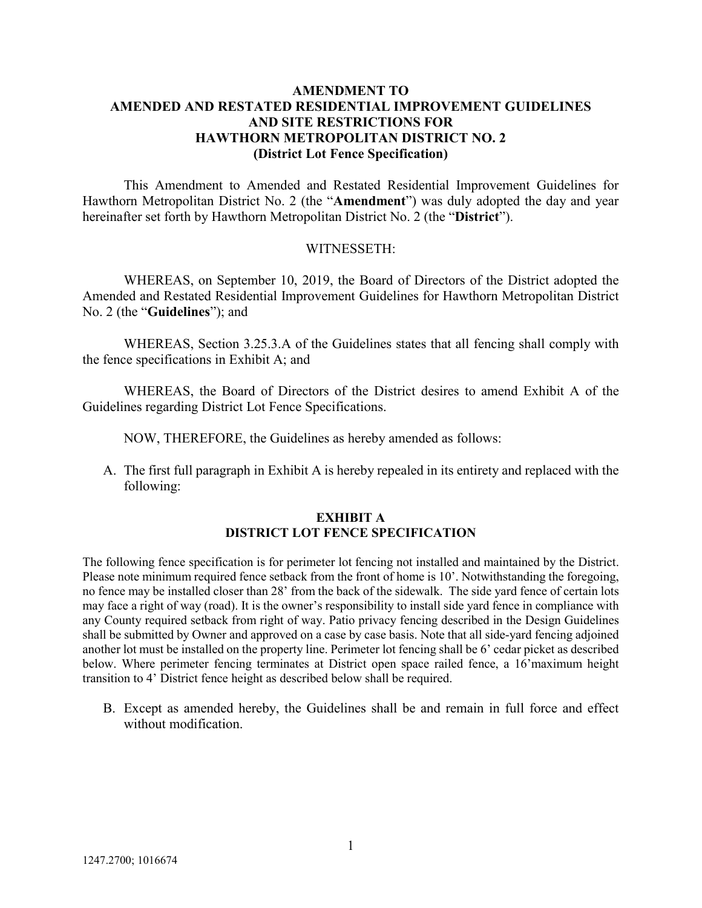## **AMENDMENT TO AMENDED AND RESTATED RESIDENTIAL IMPROVEMENT GUIDELINES AND SITE RESTRICTIONS FOR HAWTHORN METROPOLITAN DISTRICT NO. 2 (District Lot Fence Specification)**

This Amendment to Amended and Restated Residential Improvement Guidelines for Hawthorn Metropolitan District No. 2 (the "**Amendment**") was duly adopted the day and year hereinafter set forth by Hawthorn Metropolitan District No. 2 (the "**District**").

## WITNESSETH:

WHEREAS, on September 10, 2019, the Board of Directors of the District adopted the Amended and Restated Residential Improvement Guidelines for Hawthorn Metropolitan District No. 2 (the "**Guidelines**"); and

WHEREAS, Section 3.25.3.A of the Guidelines states that all fencing shall comply with the fence specifications in Exhibit A; and

WHEREAS, the Board of Directors of the District desires to amend Exhibit A of the Guidelines regarding District Lot Fence Specifications.

NOW, THEREFORE, the Guidelines as hereby amended as follows:

A. The first full paragraph in Exhibit A is hereby repealed in its entirety and replaced with the following:

## **EXHIBIT A DISTRICT LOT FENCE SPECIFICATION**

The following fence specification is for perimeter lot fencing not installed and maintained by the District. Please note minimum required fence setback from the front of home is 10'. Notwithstanding the foregoing, no fence may be installed closer than 28' from the back of the sidewalk. The side yard fence of certain lots may face a right of way (road). It is the owner's responsibility to install side yard fence in compliance with any County required setback from right of way. Patio privacy fencing described in the Design Guidelines shall be submitted by Owner and approved on a case by case basis. Note that all side-yard fencing adjoined another lot must be installed on the property line. Perimeter lot fencing shall be 6' cedar picket as described below. Where perimeter fencing terminates at District open space railed fence, a 16'maximum height transition to 4' District fence height as described below shall be required.

B. Except as amended hereby, the Guidelines shall be and remain in full force and effect without modification.